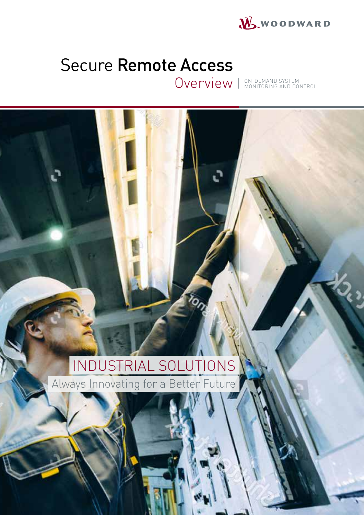

# Secure Remote Access

Overview I ON-DEMAND SYSTEM CONTROL

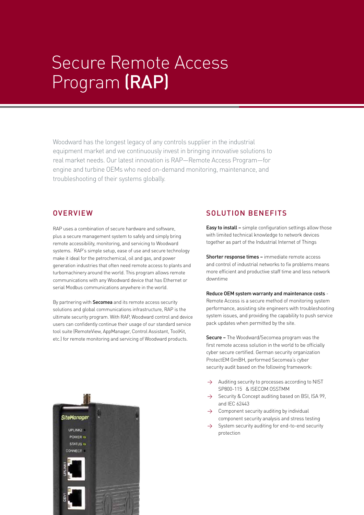# Secure Remote Access Program (RAP)

Woodward has the longest legacy of any controls supplier in the industrial equipment market and we continuously invest in bringing innovative solutions to real market needs. Our latest innovation is RAP—Remote Access Program—for engine and turbine OEMs who need on-demand monitoring, maintenance, and troubleshooting of their systems globally.

## **OVERVIEW**

RAP uses a combination of secure hardware and software, plus a secure management system to safely and simply bring remote accessibility, monitoring, and servicing to Woodward systems. RAP's simple setup, ease of use and secure technology make it ideal for the petrochemical, oil and gas, and power generation industries that often need remote access to plants and turbomachinery around the world. This program allows remote communications with any Woodward device that has Ethernet or serial Modbus communications anywhere in the world.

By partnering with **Secomea** and its remote access security solutions and global communications infrastructure, RAP is the ultimate security program. With RAP, Woodward control and device users can confidently continue their usage of our standard service tool suite (RemoteView, AppManager, Control Assistant, ToolKit, etc.) for remote monitoring and servicing of Woodward products.



## SOLUTION BENEFITS

Easy to install – simple configuration settings allow those with limited technical knowledge to network devices together as part of the Industrial Internet of Things

Shorter response times - immediate remote access and control of industrial networks to fix problems means more efficient and productive staff time and less network downtime

#### Reduce OEM system warranty and maintenance costs -

Remote Access is a secure method of monitoring system performance, assisting site engineers with troubleshooting system issues, and providing the capability to push service pack updates when permitted by the site.

Secure – The Woodward/Secomea program was the first remote access solution in the world to be officially cyber secure certified. German security organization ProtectEM GmBH, performed Secomea's cyber security audit based on the following framework:

- $\rightarrow$  Auditing security to processes according to NIST SP800-115 & ISECOM OSSTMM
- $\rightarrow$  Security & Concept auditing based on BSI, ISA 99, and IEC 62443
- $\rightarrow$  Component security auditing by individual component security analysis and stress testing
- $\rightarrow$  System security auditing for end-to-end security protection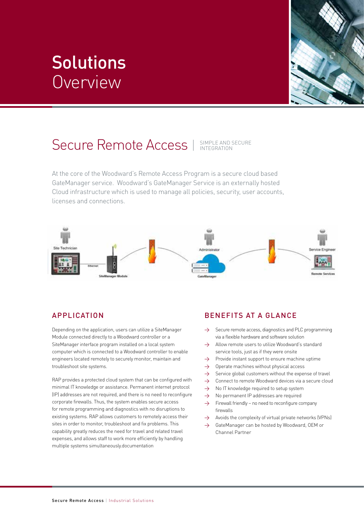# **Solutions** Overview



## Secure Remote Access | SIMPLE AND SECURE

At the core of the Woodward's Remote Access Program is a secure cloud based GateManager service. Woodward's GateManager Service is an externally hosted Cloud infrastructure which is used to manage all policies, security, user accounts, licenses and connections.



## **APPLICATION**

Depending on the application, users can utilize a SiteManager Module connected directly to a Woodward controller or a SiteManager interface program installed on a local system computer which is connected to a Woodward controller to enable engineers located remotely to securely monitor, maintain and troubleshoot site systems.

RAP provides a protected cloud system that can be configured with minimal IT knowledge or assistance. Permanent internet protocol (IP) addresses are not required, and there is no need to reconfigure corporate firewalls. Thus, the system enables secure access for remote programming and diagnostics with no disruptions to existing systems. RAP allows customers to remotely access their sites in order to monitor, troubleshoot and fix problems. This capability greatly reduces the need for travel and related travel expenses, and allows staff to work more efficiently by handling multiple systems simultaneously.documentation

## BENEFITS AT A GLANCE

- $\rightarrow$  Secure remote access, diagnostics and PLC programming via a flexible hardware and software solution
- → Allow remote users to utilize Woodward's standard service tools, just as if they were onsite
- $\rightarrow$  Provide instant support to ensure machine uptime
- $\rightarrow$  Operate machines without physical access
- $\rightarrow$  Service global customers without the expense of travel
- $\rightarrow$  Connect to remote Woodward devices via a secure cloud
- $\rightarrow$  No IT knowledge required to setup system
- $\rightarrow$  No permanent IP addresses are required
- $\rightarrow$  Firewall friendly no need to reconfigure company firewalls
- $\rightarrow$  Avoids the complexity of virtual private networks (VPNs)
- → GateManager can be hosted by Woodward, OEM or Channel Partner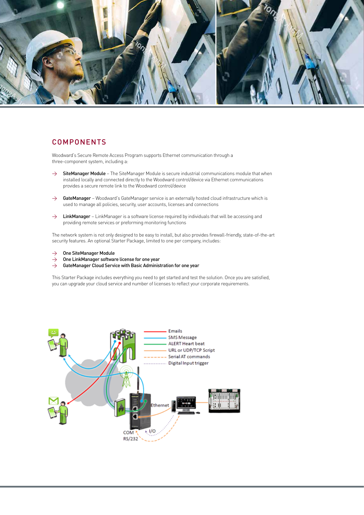

### COMPONENTS

Woodward's Secure Remote Access Program supports Ethernet communication through a three-component system, including a:

- → SiteManager Module The SiteManager Module is secure industrial communications module that when installed locally and connected directly to the Woodward control/device via Ethernet communications provides a secure remote link to the Woodward control/device
- → GateManager Woodward's GateManager service is an externally hosted cloud infrastructure which is used to manage all policies, security, user accounts, licenses and connections
- → LinkManager LinkManager is a software license required by individuals that will be accessing and providing remote services or preforming monitoring functions

The network system is not only designed to be easy to install, but also provides firewall-friendly, state-of-the-art security features. An optional Starter Package, limited to one per company, includes:

- $\rightarrow$  One SiteManager Module
- $\rightarrow$  One LinkManager software license for one year
- $\rightarrow$  GateManager Cloud Service with Basic Administration for one year

This Starter Package includes everything you need to get started and test the solution. Once you are satisfied, you can upgrade your cloud service and number of licenses to reflect your corporate requirements.

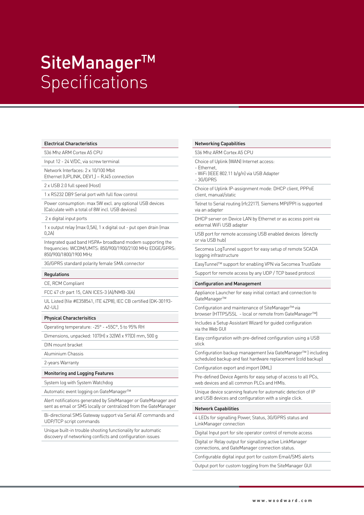# SiteManager<sup>™</sup> **Specifications**

#### Electrical Characteristics

536 Mhz ARM Cortex A5 CPU

Input 12 - 24 V/DC, via screw terminal

Network Interfaces: 2 x 10/100 Mbit Ethernet (UPLINK, DEV1,) – RJ45 connection

2 x USB 2.0 full speed (Host)

1 x RS232 DB9 Serial port with full flow control

Power consumption: max 5W excl. any optional USB devices (Calculate with a total of 8W incl. USB devices)

2 x digital input ports

1 x output relay (max 0,5A), 1 x digital out - put open drain (max  $\bigcap$  2A)

Integrated quad band HSPA+ broadband modem supporting the frequencies: WCDM/UMTS: 850/900/1900/2100 MHz EDGE/GPRS: 850/900/1800/1900 MHz

3G/GPRS standard polarity female SMA connector

#### Regulations

CE, RCM Compliant

FCC 47 cfr part 15, CAN ICES-3 (A)/NMB-3(A)

UL Listed (file #E358541, ITE 4ZP8), IEC CB certified (DK-30193-  $\Delta$ 2-UL)

#### Physical Characterisitics

Operating temperature: -25° - +55C°, 5 to 95% RH

Dimensions, unpacked: 107(H) x 32(W) x 97(D) mm, 500 g

- DIN mount bracket
- Aluminium Chassis
- 2-years Warranty

#### Monitoring and Logging Features

System log with System Watchdog

Automatic event logging on GateManager™

Alert notifications generated by SiteManager or GateManager and sent as email or SMS locally or centralized from the GateManager

Bi-directional SMS Gateway support via Serial AT commands and UDP/TCP script commands

Unique built-in trouble shooting functionality for automatic discovery of networking conflicts and configuration issues

#### Networking Capabilities

536 Mhz ARM Cortex A5 CPU

Choice of Uplink (WAN) Internet access:

- Ethernet,

- WiFi (IEEE 802.11 b/g/n) via USB Adapter
- 3G/GPRS

Choice of Uplink IP-assignment mode: DHCP client, PPPoE client, manual/static

Telnet to Serial routing (rfc2217). Siemens MPI/PPI is supported via an adapter

DHCP server on Device LAN by Ethernet or as access point via external WiFi USB adapter

USB port for remote accessing USB enabled devices (directly or via USB hub)

Secomea LogTunnel support for easy setup of remote SCADA logging infrastructure

EasyTunnel™ support for enabling VPN via Secomea TrustGate

Support for remote access by any UDP / TCP based protocol

#### Configuration and Management

Appliance Launcher for easy initial contact and connection to GateManager™

Configuration and maintenance of SiteManager™ via browser (HTTPS/SSL - local or remote from GateManager™)

Includes a Setup Assistant Wizard for guided configuration via the Web GUI

Easy configuration with pre-defined configuration using a USB stick

Configuration backup management (via GateManager™ ) including scheduled backup and fast hardware replacement (cold backup)

Configuration export and import (XML)

Pre-defined Device Agents for easy setup of access to all PCs, web devices and all common PLCs and HMIs.

Unique device scanning feature for automatic detection of IP and USB devices and configuration with a single click.

#### Network Capabilities

4 LEDs for signalling Power, Status, 3G/GPRS status and LinkManager connection

Digital Input port for site operator control of remote access

Digital or Relay output for signalling active LinkManager connections, and GateManager connection status.

Configurable digital input port for custom Email/SMS alerts

Output port for custom toggling from the SiteManager GUI